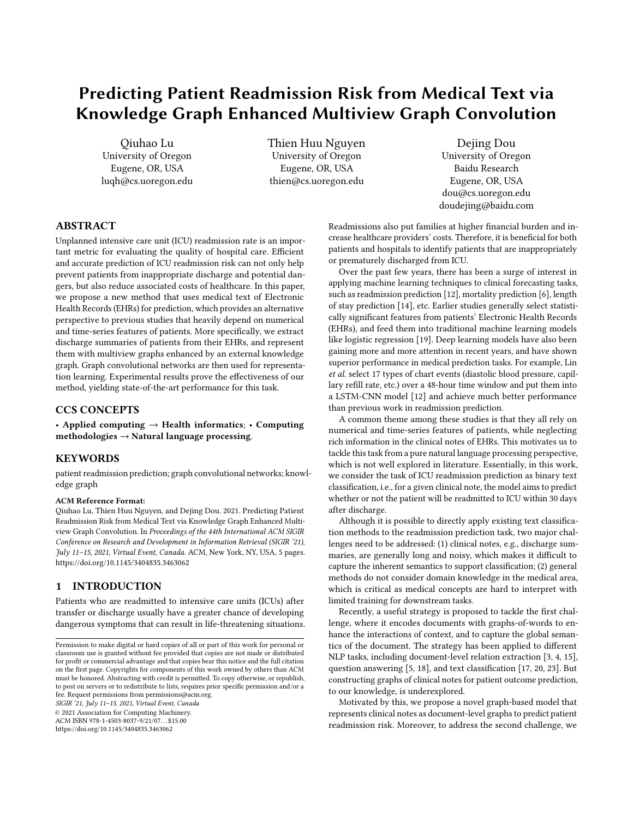# Predicting Patient Readmission Risk from Medical Text via Knowledge Graph Enhanced Multiview Graph Convolution

Qiuhao Lu University of Oregon Eugene, OR, USA luqh@cs.uoregon.edu Thien Huu Nguyen University of Oregon Eugene, OR, USA thien@cs.uoregon.edu

Dejing Dou University of Oregon Baidu Research Eugene, OR, USA dou@cs.uoregon.edu doudejing@baidu.com

# ABSTRACT

Unplanned intensive care unit (ICU) readmission rate is an important metric for evaluating the quality of hospital care. Efficient and accurate prediction of ICU readmission risk can not only help prevent patients from inappropriate discharge and potential dangers, but also reduce associated costs of healthcare. In this paper, we propose a new method that uses medical text of Electronic Health Records (EHRs) for prediction, which provides an alternative perspective to previous studies that heavily depend on numerical and time-series features of patients. More specifically, we extract discharge summaries of patients from their EHRs, and represent them with multiview graphs enhanced by an external knowledge graph. Graph convolutional networks are then used for representation learning. Experimental results prove the effectiveness of our method, yielding state-of-the-art performance for this task.

# CCS CONCEPTS

• Applied computing → Health informatics; • Computing methodologies  $\rightarrow$  Natural language processing.

## KEYWORDS

patient readmission prediction; graph convolutional networks; knowledge graph

#### ACM Reference Format:

Qiuhao Lu, Thien Huu Nguyen, and Dejing Dou. 2021. Predicting Patient Readmission Risk from Medical Text via Knowledge Graph Enhanced Multiview Graph Convolution. In Proceedings of the 44th International ACM SIGIR Conference on Research and Development in Information Retrieval (SIGIR '21), July 11–15, 2021, Virtual Event, Canada. ACM, New York, NY, USA, [5](#page-4-0) pages. <https://doi.org/10.1145/3404835.3463062>

## 1 INTRODUCTION

Patients who are readmitted to intensive care units (ICUs) after transfer or discharge usually have a greater chance of developing dangerous symptoms that can result in life-threatening situations.

SIGIR '21, July 11–15, 2021, Virtual Event, Canada

© 2021 Association for Computing Machinery. ACM ISBN 978-1-4503-8037-9/21/07. . . \$15.00

<https://doi.org/10.1145/3404835.3463062>

Readmissions also put families at higher financial burden and increase healthcare providers' costs. Therefore, it is beneficial for both patients and hospitals to identify patients that are inappropriately or prematurely discharged from ICU.

Over the past few years, there has been a surge of interest in applying machine learning techniques to clinical forecasting tasks, such as readmission prediction [\[12\]](#page-4-1), mortality prediction [\[6\]](#page-4-2), length of stay prediction [\[14\]](#page-4-3), etc. Earlier studies generally select statistically significant features from patients' Electronic Health Records (EHRs), and feed them into traditional machine learning models like logistic regression [\[19\]](#page-4-4). Deep learning models have also been gaining more and more attention in recent years, and have shown superior performance in medical prediction tasks. For example, Lin et al. select 17 types of chart events (diastolic blood pressure, capillary refill rate, etc.) over a 48-hour time window and put them into a LSTM-CNN model [\[12\]](#page-4-1) and achieve much better performance than previous work in readmission prediction.

A common theme among these studies is that they all rely on numerical and time-series features of patients, while neglecting rich information in the clinical notes of EHRs. This motivates us to tackle this task from a pure natural language processing perspective, which is not well explored in literature. Essentially, in this work, we consider the task of ICU readmission prediction as binary text classification, i.e., for a given clinical note, the model aims to predict whether or not the patient will be readmitted to ICU within 30 days after discharge.

Although it is possible to directly apply existing text classification methods to the readmission prediction task, two major challenges need to be addressed: (1) clinical notes, e.g., discharge summaries, are generally long and noisy, which makes it difficult to capture the inherent semantics to support classification; (2) general methods do not consider domain knowledge in the medical area, which is critical as medical concepts are hard to interpret with limited training for downstream tasks.

Recently, a useful strategy is proposed to tackle the first challenge, where it encodes documents with graphs-of-words to enhance the interactions of context, and to capture the global semantics of the document. The strategy has been applied to different NLP tasks, including document-level relation extraction [\[3,](#page-4-5) [4,](#page-4-6) [15\]](#page-4-7), question answering [\[5,](#page-4-8) [18\]](#page-4-9), and text classification [\[17,](#page-4-10) [20,](#page-4-11) [23\]](#page-4-12). But constructing graphs of clinical notes for patient outcome prediction, to our knowledge, is underexplored.

Motivated by this, we propose a novel graph-based model that represents clinical notes as document-level graphs to predict patient readmission risk. Moreover, to address the second challenge, we

Permission to make digital or hard copies of all or part of this work for personal or classroom use is granted without fee provided that copies are not made or distributed for profit or commercial advantage and that copies bear this notice and the full citation on the first page. Copyrights for components of this work owned by others than ACM must be honored. Abstracting with credit is permitted. To copy otherwise, or republish, to post on servers or to redistribute to lists, requires prior specific permission and/or a fee. Request permissions from permissions@acm.org.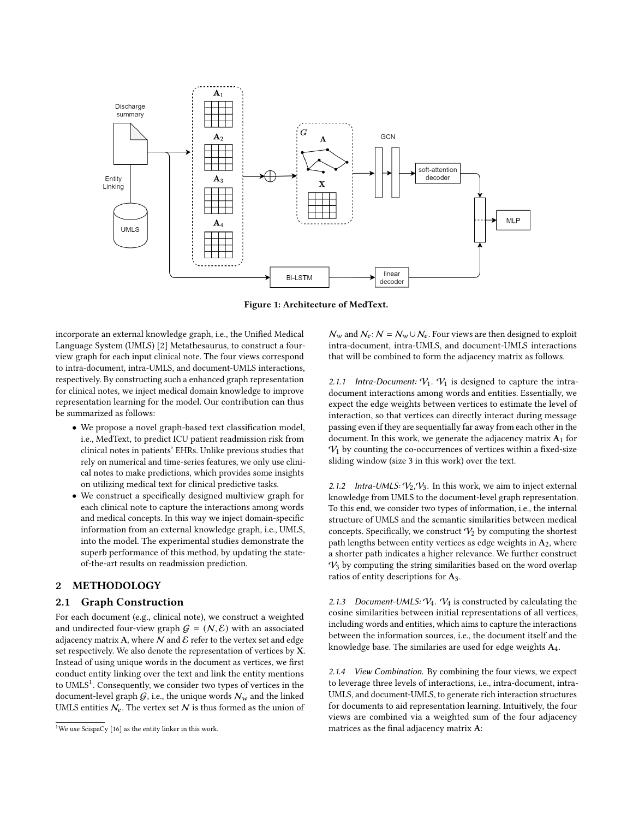<span id="page-1-1"></span>

Figure 1: Architecture of MedText.

incorporate an external knowledge graph, i.e., the Unified Medical Language System (UMLS) [\[2\]](#page-4-13) Metathesaurus, to construct a fourview graph for each input clinical note. The four views correspond to intra-document, intra-UMLS, and document-UMLS interactions, respectively. By constructing such a enhanced graph representation for clinical notes, we inject medical domain knowledge to improve representation learning for the model. Our contribution can thus be summarized as follows:

- We propose a novel graph-based text classification model, i.e., MedText, to predict ICU patient readmission risk from clinical notes in patients' EHRs. Unlike previous studies that rely on numerical and time-series features, we only use clinical notes to make predictions, which provides some insights on utilizing medical text for clinical predictive tasks.
- We construct a specifically designed multiview graph for each clinical note to capture the interactions among words and medical concepts. In this way we inject domain-specific information from an external knowledge graph, i.e., UMLS, into the model. The experimental studies demonstrate the superb performance of this method, by updating the stateof-the-art results on readmission prediction.

# 2 METHODOLOGY

## 2.1 Graph Construction

For each document (e.g., clinical note), we construct a weighted and undirected four-view graph  $G = (N, \mathcal{E})$  with an associated adjacency matrix A, where  $N$  and  $\mathcal E$  refer to the vertex set and edge set respectively. We also denote the representation of vertices by X. Instead of using unique words in the document as vertices, we first conduct entity linking over the text and link the entity mentions to UMLS<sup>[1](#page-1-0)</sup>. Consequently, we consider two types of vertices in the document-level graph  $G$ , i.e., the unique words  $\mathcal{N}_w$  and the linked UMLS entities  $N_e$ . The vertex set N is thus formed as the union of  $N_w$  and  $N_e$ :  $N = N_w \cup N_e$ . Four views are then designed to exploit intra-document, intra-UMLS, and document-UMLS interactions that will be combined to form the adjacency matrix as follows.

2.1.1 Intra-Document:  $V_1$ .  $V_1$  is designed to capture the intradocument interactions among words and entities. Essentially, we expect the edge weights between vertices to estimate the level of interaction, so that vertices can directly interact during message passing even if they are sequentially far away from each other in the document. In this work, we generate the adjacency matrix  $A_1$  for  $V_1$  by counting the co-occurrences of vertices within a fixed-size sliding window (size 3 in this work) over the text.

2.1.2 Intra-UMLS:  $V_2$ ,  $V_3$ . In this work, we aim to inject external knowledge from UMLS to the document-level graph representation. To this end, we consider two types of information, i.e., the internal structure of UMLS and the semantic similarities between medical concepts. Specifically, we construct  $\mathcal{V}_2$  by computing the shortest path lengths between entity vertices as edge weights in  $A_2$ , where a shorter path indicates a higher relevance. We further construct  $\mathcal{V}_3$  by computing the string similarities based on the word overlap ratios of entity descriptions for A3.

2.1.3 Document-UMLS:  $V_4$ .  $V_4$  is constructed by calculating the cosine similarities between initial representations of all vertices, including words and entities, which aims to capture the interactions between the information sources, i.e., the document itself and the knowledge base. The similaries are used for edge weights A4.

2.1.4 View Combination. By combining the four views, we expect to leverage three levels of interactions, i.e., intra-document, intra-UMLS, and document-UMLS, to generate rich interaction structures for documents to aid representation learning. Intuitively, the four views are combined via a weighted sum of the four adjacency matrices as the final adjacency matrix A:

<span id="page-1-0"></span><sup>&</sup>lt;sup>1</sup>We use ScispaCy  $[16]$  as the entity linker in this work.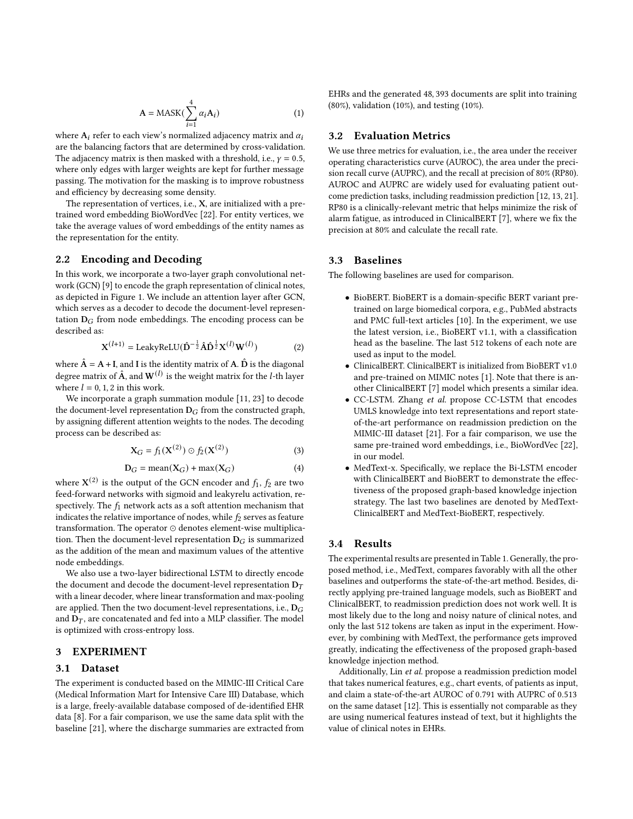$$
\mathbf{A} = \text{MASK}(\sum_{i=1}^{4} \alpha_i \mathbf{A}_i)
$$
 (1)

where  $A_i$  refer to each view's normalized adjacency matrix and  $\alpha_i$ are the balancing factors that are determined by cross-validation. The adjacency matrix is then masked with a threshold, i.e.,  $\gamma = 0.5$ , where only edges with larger weights are kept for further message passing. The motivation for the masking is to improve robustness and efficiency by decreasing some density.

The representation of vertices, i.e., X, are initialized with a pretrained word embedding BioWordVec [\[22\]](#page-4-15). For entity vertices, we take the average values of word embeddings of the entity names as the representation for the entity.

## 2.2 Encoding and Decoding

In this work, we incorporate a two-layer graph convolutional network (GCN) [\[9\]](#page-4-16) to encode the graph representation of clinical notes, as depicted in Figure [1.](#page-1-1) We include an attention layer after GCN, which serves as a decoder to decode the document-level representation  $D_G$  from node embeddings. The encoding process can be described as:

$$
\mathbf{X}^{(l+1)} = \text{LeakyReLU} (\hat{\mathbf{D}}^{-\frac{1}{2}} \hat{\mathbf{A}} \hat{\mathbf{D}}^{\frac{1}{2}} \mathbf{X}^{(l)} \mathbf{W}^{(l)})
$$
(2)

where  $\hat{A} = A + I$ , and I is the identity matrix of A.  $\hat{D}$  is the diagonal degree matrix of  $\hat{A}$ , and  $W^{(l)}$  is the weight matrix for the *l*-th layer where  $l = 0, 1, 2$  in this work.

We incorporate a graph summation module [\[11,](#page-4-17) [23\]](#page-4-12) to decode the document-level representation  $D_G$  from the constructed graph, by assigning different attention weights to the nodes. The decoding process can be described as:

$$
\mathbf{X}_G = f_1(\mathbf{X}^{(2)}) \odot f_2(\mathbf{X}^{(2)}) \tag{3}
$$

$$
D_G = \text{mean}(X_G) + \text{max}(X_G) \tag{4}
$$

where  $\boldsymbol{X}^{(2)}$  is the output of the GCN encoder and  $f_1, f_2$  are two feed-forward networks with sigmoid and leakyrelu activation, respectively. The  $f_1$  network acts as a soft attention mechanism that indicates the relative importance of nodes, while  $f_2$  serves as feature transformation. The operator ⊙ denotes element-wise multiplication. Then the document-level representation  $D_G$  is summarized as the addition of the mean and maximum values of the attentive node embeddings.

We also use a two-layer bidirectional LSTM to directly encode the document and decode the document-level representation  $D_T$ with a linear decoder, where linear transformation and max-pooling are applied. Then the two document-level representations, i.e.,  $D_G$ and  $D_T$ , are concatenated and fed into a MLP classifier. The model is optimized with cross-entropy loss.

## 3 EXPERIMENT

#### 3.1 Dataset

The experiment is conducted based on the MIMIC-III Critical Care (Medical Information Mart for Intensive Care III) Database, which is a large, freely-available database composed of de-identified EHR data [\[8\]](#page-4-18). For a fair comparison, we use the same data split with the baseline [\[21\]](#page-4-19), where the discharge summaries are extracted from EHRs and the generated 48, 393 documents are split into training (80%), validation (10%), and testing (10%).

## 3.2 Evaluation Metrics

We use three metrics for evaluation, i.e., the area under the receiver operating characteristics curve (AUROC), the area under the precision recall curve (AUPRC), and the recall at precision of 80% (RP80). AUROC and AUPRC are widely used for evaluating patient outcome prediction tasks, including readmission prediction [\[12,](#page-4-1) [13,](#page-4-20) [21\]](#page-4-19). RP80 is a clinically-relevant metric that helps minimize the risk of alarm fatigue, as introduced in ClinicalBERT [\[7\]](#page-4-21), where we fix the precision at 80% and calculate the recall rate.

#### 3.3 Baselines

The following baselines are used for comparison.

- BioBERT. BioBERT is a domain-specific BERT variant pretrained on large biomedical corpora, e.g., PubMed abstracts and PMC full-text articles [\[10\]](#page-4-22). In the experiment, we use the latest version, i.e., BioBERT v1.1, with a classification head as the baseline. The last 512 tokens of each note are used as input to the model.
- ClinicalBERT. ClinicalBERT is initialized from BioBERT v1.0 and pre-trained on MIMIC notes [\[1\]](#page-4-23). Note that there is another ClinicalBERT [\[7\]](#page-4-21) model which presents a similar idea.
- CC-LSTM. Zhang et al. propose CC-LSTM that encodes UMLS knowledge into text representations and report stateof-the-art performance on readmission prediction on the MIMIC-III dataset [\[21\]](#page-4-19). For a fair comparison, we use the same pre-trained word embeddings, i.e., BioWordVec [\[22\]](#page-4-15), in our model.
- MedText-x. Specifically, we replace the Bi-LSTM encoder with ClinicalBERT and BioBERT to demonstrate the effectiveness of the proposed graph-based knowledge injection strategy. The last two baselines are denoted by MedText-ClinicalBERT and MedText-BioBERT, respectively.

# 3.4 Results

The experimental results are presented in Table [1.](#page-3-0) Generally, the proposed method, i.e., MedText, compares favorably with all the other baselines and outperforms the state-of-the-art method. Besides, directly applying pre-trained language models, such as BioBERT and ClinicalBERT, to readmission prediction does not work well. It is most likely due to the long and noisy nature of clinical notes, and only the last 512 tokens are taken as input in the experiment. However, by combining with MedText, the performance gets improved greatly, indicating the effectiveness of the proposed graph-based knowledge injection method.

Additionally, Lin et al. propose a readmission prediction model that takes numerical features, e.g., chart events, of patients as input, and claim a state-of-the-art AUROC of 0.791 with AUPRC of 0.513 on the same dataset [\[12\]](#page-4-1). This is essentially not comparable as they are using numerical features instead of text, but it highlights the value of clinical notes in EHRs.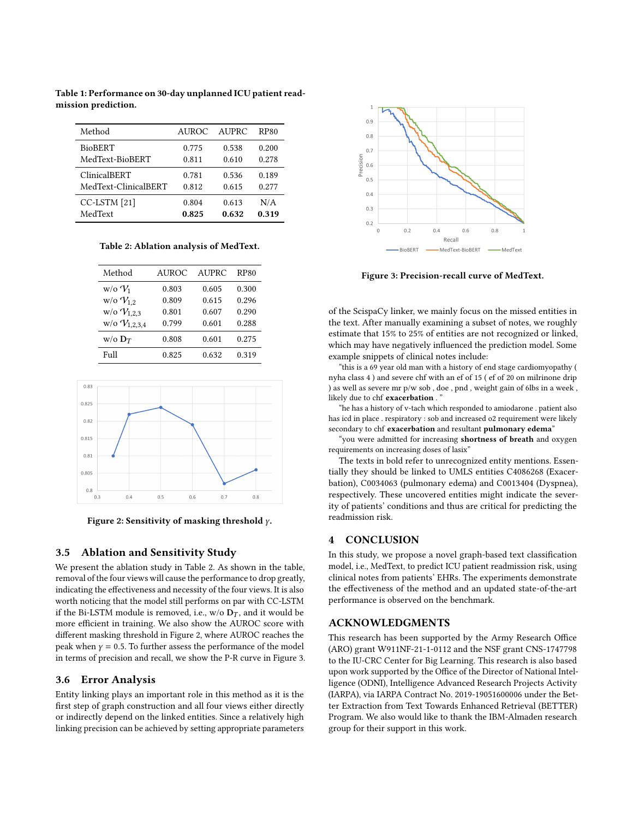| Method               | AUROC. | AUPRC | RP80  |
|----------------------|--------|-------|-------|
| <b>BioBERT</b>       | 0.775  | 0.538 | 0.200 |
| MedText-BioBERT      | 0.811  | 0.610 | 0.278 |
| ClinicalBERT         | 0.781  | 0.536 | 0.189 |
| MedText-ClinicalBERT | 0.812  | 0.615 | 0.277 |
| CC-LSTM [21]         | 0.804  | 0.613 | N/A   |
| MedText              | 0.825  | 0.632 | 0.319 |

<span id="page-3-0"></span>Table 1: Performance on 30-day unplanned ICU patient readmission prediction.

<span id="page-3-1"></span>Table 2: Ablation analysis of MedText.

| Method               | <b>AUROC</b> | AUPRC | <b>RP80</b> |
|----------------------|--------------|-------|-------------|
| $w$ /0 $V_1$         | 0.803        | 0.605 | 0.300       |
| $w$ /0 $V_{1,2}$     | 0.809        | 0.615 | 0.296       |
| $w/o$ $V_{1,2,3}$    | 0.801        | 0.607 | 0.290       |
| $w$ /0 $V_{1,2,3,4}$ | 0.799        | 0.601 | 0.288       |
| $w$ /0 $D_T$         | 0.808        | 0.601 | 0.275       |
| Full                 | 0.825        | 0.632 | 0.319       |

<span id="page-3-2"></span>

Figure 2: Sensitivity of masking threshold  $\gamma$ .

# 3.5 Ablation and Sensitivity Study

We present the ablation study in Table [2.](#page-3-1) As shown in the table, removal of the four views will cause the performance to drop greatly, indicating the effectiveness and necessity of the four views. It is also worth noticing that the model still performs on par with CC-LSTM if the Bi-LSTM module is removed, i.e., w/o  $D_T$ , and it would be more efficient in training. We also show the AUROC score with different masking threshold in Figure [2,](#page-3-2) where AUROC reaches the peak when  $y = 0.5$ . To further assess the performance of the model in terms of precision and recall, we show the P-R curve in Figure [3.](#page-3-3)

## 3.6 Error Analysis

Entity linking plays an important role in this method as it is the first step of graph construction and all four views either directly or indirectly depend on the linked entities. Since a relatively high linking precision can be achieved by setting appropriate parameters

<span id="page-3-3"></span>

Figure 3: Precision-recall curve of MedText.

of the ScispaCy linker, we mainly focus on the missed entities in the text. After manually examining a subset of notes, we roughly estimate that 15% to 25% of entities are not recognized or linked, which may have negatively influenced the prediction model. Some example snippets of clinical notes include:

"this is a 69 year old man with a history of end stage cardiomyopathy ( nyha class 4 ) and severe chf with an ef of 15 ( ef of 20 on milrinone drip ) as well as severe mr p/w sob , doe , pnd , weight gain of 6lbs in a week , likely due to chf exacerbation .

"he has a history of v-tach which responded to amiodarone . patient also has icd in place . respiratory : sob and increased o2 requirement were likely secondary to chf exacerbation and resultant pulmonary edema"

"you were admitted for increasing shortness of breath and oxygen requirements on increasing doses of lasix"

The texts in bold refer to unrecognized entity mentions. Essentially they should be linked to UMLS entities C4086268 (Exacerbation), C0034063 (pulmonary edema) and C0013404 (Dyspnea), respectively. These uncovered entities might indicate the severity of patients' conditions and thus are critical for predicting the readmission risk.

## 4 CONCLUSION

In this study, we propose a novel graph-based text classification model, i.e., MedText, to predict ICU patient readmission risk, using clinical notes from patients' EHRs. The experiments demonstrate the effectiveness of the method and an updated state-of-the-art performance is observed on the benchmark.

## ACKNOWLEDGMENTS

This research has been supported by the Army Research Office (ARO) grant W911NF-21-1-0112 and the NSF grant CNS-1747798 to the IU-CRC Center for Big Learning. This research is also based upon work supported by the Office of the Director of National Intelligence (ODNI), Intelligence Advanced Research Projects Activity (IARPA), via IARPA Contract No. 2019-19051600006 under the Better Extraction from Text Towards Enhanced Retrieval (BETTER) Program. We also would like to thank the IBM-Almaden research group for their support in this work.